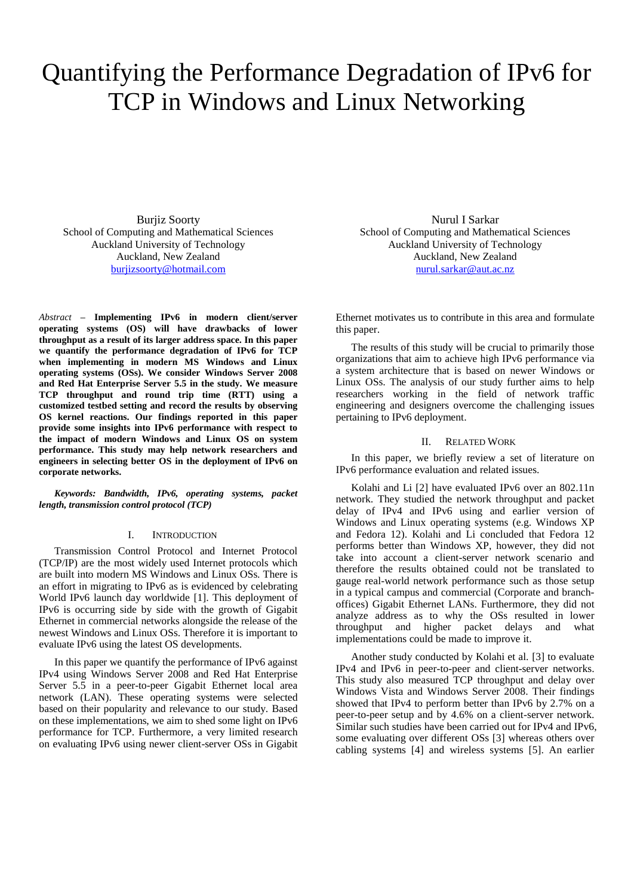# Quantifying the Performance Degradation of IPv6 for TCP in Windows and Linux Networking

Burjiz Soorty School of Computing and Mathematical Sciences Auckland University of Technology Auckland, New Zealand [burjizsoorty@hotmail.com](mailto:burjizsoorty@hotmail.com)

*Abstract* **– Implementing IPv6 in modern client/server operating systems (OS) will have drawbacks of lower throughput as a result of its larger address space. In this paper we quantify the performance degradation of IPv6 for TCP when implementing in modern MS Windows and Linux operating systems (OSs). We consider Windows Server 2008 and Red Hat Enterprise Server 5.5 in the study. We measure TCP throughput and round trip time (RTT) using a customized testbed setting and record the results by observing OS kernel reactions. Our findings reported in this paper provide some insights into IPv6 performance with respect to the impact of modern Windows and Linux OS on system performance. This study may help network researchers and engineers in selecting better OS in the deployment of IPv6 on corporate networks.**

*Keywords: Bandwidth, IPv6, operating systems, packet length, transmission control protocol (TCP)*

### I. INTRODUCTION

Transmission Control Protocol and Internet Protocol (TCP/IP) are the most widely used Internet protocols which are built into modern MS Windows and Linux OSs. There is an effort in migrating to IPv6 as is evidenced by celebrating World IPv6 launch day worldwide [\[1\]](#page-4-0). This deployment of IPv6 is occurring side by side with the growth of Gigabit Ethernet in commercial networks alongside the release of the newest Windows and Linux OSs. Therefore it is important to evaluate IPv6 using the latest OS developments.

In this paper we quantify the performance of IPv6 against IPv4 using Windows Server 2008 and Red Hat Enterprise Server 5.5 in a peer-to-peer Gigabit Ethernet local area network (LAN). These operating systems were selected based on their popularity and relevance to our study. Based on these implementations, we aim to shed some light on IPv6 performance for TCP. Furthermore, a very limited research on evaluating IPv6 using newer client-server OSs in Gigabit

Nurul I Sarkar School of Computing and Mathematical Sciences Auckland University of Technology Auckland, New Zealand [nurul.sarkar@aut.ac.nz](mailto:nurul.sarkar@aut.ac.nz)

Ethernet motivates us to contribute in this area and formulate this paper.

The results of this study will be crucial to primarily those organizations that aim to achieve high IPv6 performance via a system architecture that is based on newer Windows or Linux OSs. The analysis of our study further aims to help researchers working in the field of network traffic engineering and designers overcome the challenging issues pertaining to IPv6 deployment.

## II. RELATED WORK

In this paper, we briefly review a set of literature on IPv6 performance evaluation and related issues.

Kolahi and Li [\[2\]](#page-4-1) have evaluated IPv6 over an 802.11n network. They studied the network throughput and packet delay of IPv4 and IPv6 using and earlier version of Windows and Linux operating systems (e.g. Windows XP and Fedora 12). Kolahi and Li concluded that Fedora 12 performs better than Windows XP, however, they did not take into account a client-server network scenario and therefore the results obtained could not be translated to gauge real-world network performance such as those setup in a typical campus and commercial (Corporate and branchoffices) Gigabit Ethernet LANs. Furthermore, they did not analyze address as to why the OSs resulted in lower throughput and higher packet delays and what implementations could be made to improve it.

Another study conducted by Kolahi et al. [\[3\]](#page-4-2) to evaluate IPv4 and IPv6 in peer-to-peer and client-server networks. This study also measured TCP throughput and delay over Windows Vista and Windows Server 2008. Their findings showed that IPv4 to perform better than IPv6 by 2.7% on a peer-to-peer setup and by 4.6% on a client-server network. Similar such studies have been carried out for IPv4 and IPv6, some evaluating over different OSs [\[3\]](#page-4-2) whereas others over cabling systems [\[4\]](#page-4-3) and wireless systems [\[5\]](#page-4-4). An earlier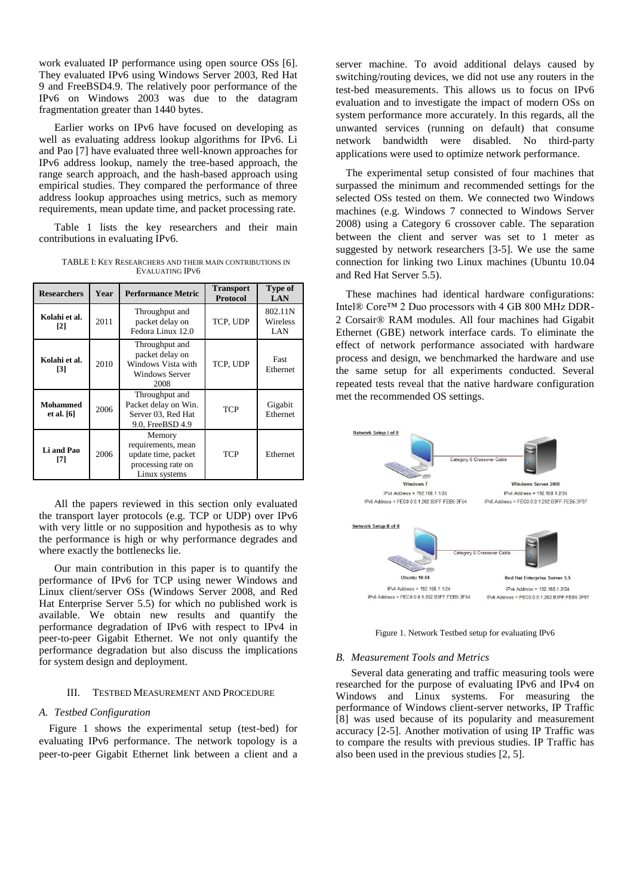work evaluated IP performance using open source OSs [\[6\]](#page-4-5). They evaluated IPv6 using Windows Server 2003, Red Hat 9 and FreeBSD4.9. The relatively poor performance of the IPv6 on Windows 2003 was due to the datagram fragmentation greater than 1440 bytes.

Earlier works on IPv6 have focused on developing as well as evaluating address lookup algorithms for IPv6. Li and Pao [\[7\]](#page-4-6) have evaluated three well-known approaches for IPv6 address lookup, namely the tree-based approach, the range search approach, and the hash-based approach using empirical studies. They compared the performance of three address lookup approaches using metrics, such as memory requirements, mean update time, and packet processing rate.

Table 1 lists the key researchers and their main contributions in evaluating IPv6.

TABLE I: KEY RESEARCHERS AND THEIR MAIN CONTRIBUTIONS IN EVALUATING IPV6

| <b>Researchers</b>                 | Year | <b>Performance Metric</b>                                                                  | <b>Transport</b><br><b>Protocol</b> | <b>Type of</b><br><b>LAN</b> |
|------------------------------------|------|--------------------------------------------------------------------------------------------|-------------------------------------|------------------------------|
| Kolahi et al.<br>[2]               | 2011 | Throughput and<br>packet delay on<br>Fedora Linux 12.0                                     | TCP, UDP                            | 802.11N<br>Wireless<br>LAN   |
| Kolahi et al.<br>$\lceil 3 \rceil$ | 2010 | Throughput and<br>packet delay on<br>Windows Vista with<br><b>Windows Server</b><br>2008   | TCP, UDP                            | Fast<br>Ethernet             |
| <b>Mohammed</b><br>et al. [6]      | 2006 | Throughput and<br>Packet delay on Win.<br>Server 03, Red Hat<br>9.0, FreeBSD 4.9           | <b>TCP</b>                          | Gigabit<br>Ethernet          |
| Li and Pao<br>[7]                  | 2006 | Memory<br>requirements, mean<br>update time, packet<br>processing rate on<br>Linux systems | TCP                                 | Ethernet                     |

All the papers reviewed in this section only evaluated the transport layer protocols (e.g. TCP or UDP) over IPv6 with very little or no supposition and hypothesis as to why the performance is high or why performance degrades and where exactly the bottlenecks lie.

Our main contribution in this paper is to quantify the performance of IPv6 for TCP using newer Windows and Linux client/server OSs (Windows Server 2008, and Red Hat Enterprise Server 5.5) for which no published work is available. We obtain new results and quantify the performance degradation of IPv6 with respect to IPv4 in peer-to-peer Gigabit Ethernet. We not only quantify the performance degradation but also discuss the implications for system design and deployment.

## III. TESTBED MEASUREMENT AND PROCEDURE

#### *A. Testbed Configuration*

Figure 1 shows the experimental setup (test-bed) for evaluating IPv6 performance. The network topology is a peer-to-peer Gigabit Ethernet link between a client and a server machine. To avoid additional delays caused by switching/routing devices, we did not use any routers in the test-bed measurements. This allows us to focus on IPv6 evaluation and to investigate the impact of modern OSs on system performance more accurately. In this regards, all the unwanted services (running on default) that consume network bandwidth were disabled. No third-party applications were used to optimize network performance.

The experimental setup consisted of four machines that surpassed the minimum and recommended settings for the selected OSs tested on them. We connected two Windows machines (e.g. Windows 7 connected to Windows Server 2008) using a Category 6 crossover cable. The separation between the client and server was set to 1 meter as suggested by network researchers [\[3-5\]](#page-4-2). We use the same connection for linking two Linux machines (Ubuntu 10.04 and Red Hat Server 5.5).

These machines had identical hardware configurations: Intel® Core™ 2 Duo processors with 4 GB 800 MHz DDR-2 Corsair® RAM modules. All four machines had Gigabit Ethernet (GBE) network interface cards. To eliminate the effect of network performance associated with hardware process and design, we benchmarked the hardware and use the same setup for all experiments conducted. Several repeated tests reveal that the native hardware configuration met the recommended OS settings.



Figure 1. Network Testbed setup for evaluating IPv6

## *B. Measurement Tools and Metrics*

Several data generating and traffic measuring tools were researched for the purpose of evaluating IPv6 and IPv4 on Windows and Linux systems. For measuring the performance of Windows client-server networks, IP Traffic [\[8\]](#page-4-7) was used because of its popularity and measurement accuracy [\[2-5\]](#page-4-1). Another motivation of using IP Traffic was to compare the results with previous studies. IP Traffic has also been used in the previous studies [\[2,](#page-4-1) [5\]](#page-4-4).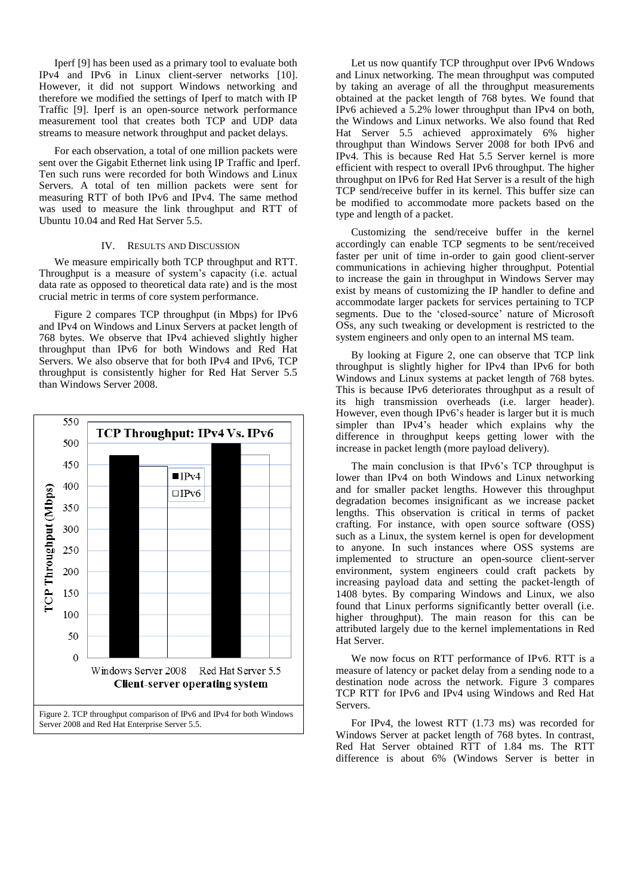Iperf [\[9\]](#page-4-8) has been used as a primary tool to evaluate both IPv4 and IPv6 in Linux client-server networks [\[10\]](#page-4-9). However, it did not support Windows networking and therefore we modified the settings of Iperf to match with IP Traffic [\[9\]](#page-4-8). Iperf is an open-source network performance measurement tool that creates both TCP and UDP data streams to measure network throughput and packet delays.

For each observation, a total of one million packets were sent over the Gigabit Ethernet link using IP Traffic and Iperf. Ten such runs were recorded for both Windows and Linux Servers. A total of ten million packets were sent for measuring RTT of both IPv6 and IPv4. The same method was used to measure the link throughput and RTT of Ubuntu 10.04 and Red Hat Server 5.5.

#### IV. RESULTS AND DISCUSSION

We measure empirically both TCP throughput and RTT. Throughput is a measure of system's capacity (i.e. actual data rate as opposed to theoretical data rate) and is the most crucial metric in terms of core system performance.

Figure 2 compares TCP throughput (in Mbps) for IPv6 and IPv4 on Windows and Linux Servers at packet length of 768 bytes. We observe that IPv4 achieved slightly higher throughput than IPv6 for both Windows and Red Hat Servers. We also observe that for both IPv4 and IPv6, TCP throughput is consistently higher for Red Hat Server 5.5 than Windows Server 2008.



Let us now quantify TCP throughput over IPv6 Wndows and Linux networking. The mean throughput was computed by taking an average of all the throughput measurements obtained at the packet length of 768 bytes. We found that IPv6 achieved a 5.2% lower throughput than IPv4 on both, the Windows and Linux networks. We also found that Red Hat Server 5.5 achieved approximately 6% higher throughput than Windows Server 2008 for both IPv6 and IPv4. This is because Red Hat 5.5 Server kernel is more efficient with respect to overall IPv6 throughput. The higher throughput on IPv6 for Red Hat Server is a result of the high TCP send/receive buffer in its kernel. This buffer size can be modified to accommodate more packets based on the type and length of a packet.

Customizing the send/receive buffer in the kernel accordingly can enable TCP segments to be sent/received faster per unit of time in-order to gain good client-server communications in achieving higher throughput. Potential to increase the gain in throughput in Windows Server may exist by means of customizing the IP handler to define and accommodate larger packets for services pertaining to TCP segments. Due to the 'closed-source' nature of Microsoft OSs, any such tweaking or development is restricted to the system engineers and only open to an internal MS team.

By looking at Figure 2, one can observe that TCP link throughput is slightly higher for IPv4 than IPv6 for both Windows and Linux systems at packet length of 768 bytes. This is because IPv6 deteriorates throughput as a result of its high transmission overheads (i.e. larger header). However, even though IPv6's header is larger but it is much simpler than IPv4's header which explains why the difference in throughput keeps getting lower with the increase in packet length (more payload delivery).

The main conclusion is that IPv6's TCP throughput is lower than IPv4 on both Windows and Linux networking and for smaller packet lengths. However this throughput degradation becomes insignificant as we increase packet lengths. This observation is critical in terms of packet crafting. For instance, with open source software (OSS) such as a Linux, the system kernel is open for development to anyone. In such instances where OSS systems are implemented to structure an open-source client-server environment, system engineers could craft packets by increasing payload data and setting the packet-length of 1408 bytes. By comparing Windows and Linux, we also found that Linux performs significantly better overall (i.e. higher throughput). The main reason for this can be attributed largely due to the kernel implementations in Red Hat Server.

We now focus on RTT performance of IPv6. RTT is a measure of latency or packet delay from a sending node to a destination node across the network. Figure 3 compares TCP RTT for IPv6 and IPv4 using Windows and Red Hat Servers.

For IPv4, the lowest RTT (1.73 ms) was recorded for Windows Server at packet length of 768 bytes. In contrast, Red Hat Server obtained RTT of 1.84 ms. The RTT difference is about 6% (Windows Server is better in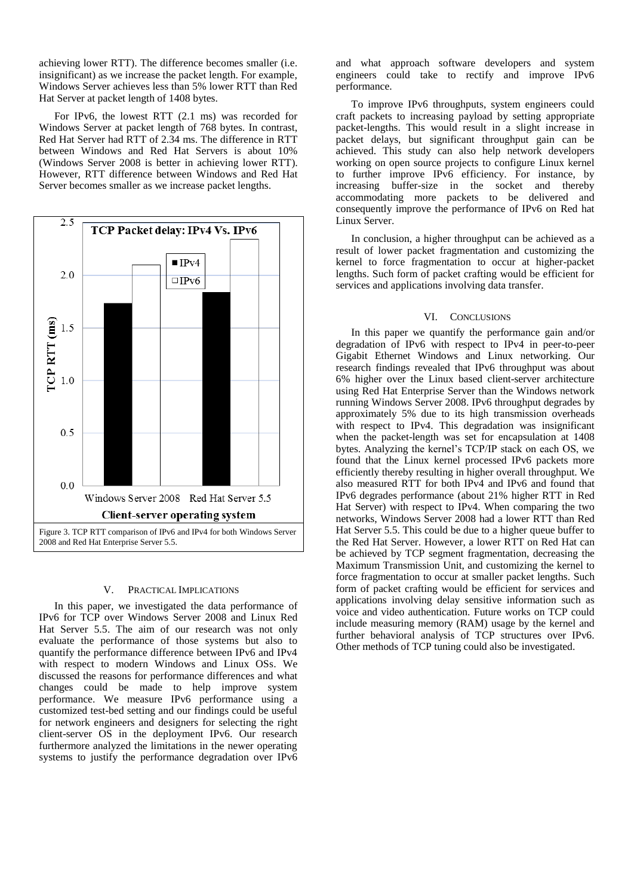achieving lower RTT). The difference becomes smaller (i.e. insignificant) as we increase the packet length. For example, Windows Server achieves less than 5% lower RTT than Red Hat Server at packet length of 1408 bytes.

For IPv6, the lowest RTT (2.1 ms) was recorded for Windows Server at packet length of 768 bytes. In contrast, Red Hat Server had RTT of 2.34 ms. The difference in RTT between Windows and Red Hat Servers is about 10% (Windows Server 2008 is better in achieving lower RTT). However, RTT difference between Windows and Red Hat Server becomes smaller as we increase packet lengths.



## V. PRACTICAL IMPLICATIONS

In this paper, we investigated the data performance of IPv6 for TCP over Windows Server 2008 and Linux Red Hat Server 5.5. The aim of our research was not only evaluate the performance of those systems but also to quantify the performance difference between IPv6 and IPv4 with respect to modern Windows and Linux OSs. We discussed the reasons for performance differences and what changes could be made to help improve system performance. We measure IPv6 performance using a customized test-bed setting and our findings could be useful for network engineers and designers for selecting the right client-server OS in the deployment IPv6. Our research furthermore analyzed the limitations in the newer operating systems to justify the performance degradation over IPv6

and what approach software developers and system engineers could take to rectify and improve IPv6 performance.

To improve IPv6 throughputs, system engineers could craft packets to increasing payload by setting appropriate packet-lengths. This would result in a slight increase in packet delays, but significant throughput gain can be achieved. This study can also help network developers working on open source projects to configure Linux kernel to further improve IPv6 efficiency. For instance, by increasing buffer-size in the socket and thereby accommodating more packets to be delivered and consequently improve the performance of IPv6 on Red hat Linux Server.

In conclusion, a higher throughput can be achieved as a result of lower packet fragmentation and customizing the kernel to force fragmentation to occur at higher-packet lengths. Such form of packet crafting would be efficient for services and applications involving data transfer.

#### VI. CONCLUSIONS

In this paper we quantify the performance gain and/or degradation of IPv6 with respect to IPv4 in peer-to-peer Gigabit Ethernet Windows and Linux networking. Our research findings revealed that IPv6 throughput was about 6% higher over the Linux based client-server architecture using Red Hat Enterprise Server than the Windows network running Windows Server 2008. IPv6 throughput degrades by approximately 5% due to its high transmission overheads with respect to IPv4. This degradation was insignificant when the packet-length was set for encapsulation at 1408 bytes. Analyzing the kernel's TCP/IP stack on each OS, we found that the Linux kernel processed IPv6 packets more efficiently thereby resulting in higher overall throughput. We also measured RTT for both IPv4 and IPv6 and found that IPv6 degrades performance (about 21% higher RTT in Red Hat Server) with respect to IPv4. When comparing the two networks, Windows Server 2008 had a lower RTT than Red Hat Server 5.5. This could be due to a higher queue buffer to the Red Hat Server. However, a lower RTT on Red Hat can be achieved by TCP segment fragmentation, decreasing the Maximum Transmission Unit, and customizing the kernel to force fragmentation to occur at smaller packet lengths. Such form of packet crafting would be efficient for services and applications involving delay sensitive information such as voice and video authentication. Future works on TCP could include measuring memory (RAM) usage by the kernel and further behavioral analysis of TCP structures over IPv6. Other methods of TCP tuning could also be investigated.